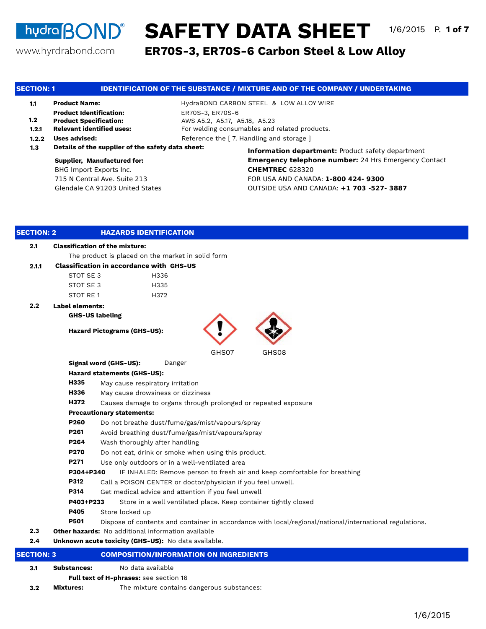# **hudra BOND<sup>®</sup> SAFETY DATA SHEET** 1/6/2015 P. 1 of 7

www.hyrdrabond.com

**ER70S-3, ER70S-6 Carbon Steel & Low Alloy**

| <b>SECTION: 1</b> |                                                   | <b>IDENTIFICATION OF THE SUBSTANCE / MIXTURE AND OF THE COMPANY / UNDERTAKING</b>           |  |  |  |  |  |
|-------------------|---------------------------------------------------|---------------------------------------------------------------------------------------------|--|--|--|--|--|
| 1.1               | <b>Product Name:</b>                              | HydraBOND CARBON STEEL & LOW ALLOY WIRE                                                     |  |  |  |  |  |
|                   | <b>Product Identification:</b>                    | ER70S-3, ER70S-6                                                                            |  |  |  |  |  |
| 1.2               | <b>Product Specification:</b>                     | AWS A5.2, A5.17, A5.18, A5.23                                                               |  |  |  |  |  |
| 1.2.1             | <b>Relevant identified uses:</b>                  | For welding consumables and related products.                                               |  |  |  |  |  |
| 1.2.2             | <b>Uses advised:</b>                              | Reference the [7. Handling and storage]                                                     |  |  |  |  |  |
| 1.3               | Details of the supplier of the safety data sheet: | <b>Information department:</b> Product safety department                                    |  |  |  |  |  |
|                   | <b>Supplier, Manufactured for:</b>                | <b>Emergency telephone number: 24 Hrs Emergency Contact</b>                                 |  |  |  |  |  |
|                   | BHG Import Exports Inc.                           | <b>CHEMTREC 628320</b>                                                                      |  |  |  |  |  |
|                   | 715 N Central Ave. Suite 213                      | FOR USA AND CANADA: 1-800 424- 9300                                                         |  |  |  |  |  |
|                   | Glendale CA 91203 United States                   | OUTSIDE USA AND CANADA: +1 703 -527- 3887                                                   |  |  |  |  |  |
|                   |                                                   |                                                                                             |  |  |  |  |  |
| <b>SECTION: 2</b> | <b>HAZARDS IDENTIFICATION</b>                     |                                                                                             |  |  |  |  |  |
| 2.1               | <b>Classification of the mixture:</b>             |                                                                                             |  |  |  |  |  |
|                   | The product is placed on the market in solid form |                                                                                             |  |  |  |  |  |
| 2.1.1             | <b>Classification in accordance with GHS-US</b>   |                                                                                             |  |  |  |  |  |
|                   | STOT SE 3<br>H336                                 |                                                                                             |  |  |  |  |  |
|                   | STOT SE 3<br>H335                                 |                                                                                             |  |  |  |  |  |
|                   | STOT RE1<br>H372                                  |                                                                                             |  |  |  |  |  |
| 2.2               | <b>Label elements:</b>                            |                                                                                             |  |  |  |  |  |
|                   | <b>GHS-US labeling</b>                            |                                                                                             |  |  |  |  |  |
|                   | <b>Hazard Pictograms (GHS-US):</b>                |                                                                                             |  |  |  |  |  |
|                   |                                                   | GHS07<br>GHS08                                                                              |  |  |  |  |  |
|                   | Signal word (GHS-US):                             | Danger                                                                                      |  |  |  |  |  |
|                   | <b>Hazard statements (GHS-US):</b>                |                                                                                             |  |  |  |  |  |
|                   | H335<br>May cause respiratory irritation          |                                                                                             |  |  |  |  |  |
|                   | H336<br>May cause drowsiness or dizziness         |                                                                                             |  |  |  |  |  |
|                   | H372                                              | Causes damage to organs through prolonged or repeated exposure                              |  |  |  |  |  |
|                   | <b>Precautionary statements:</b>                  |                                                                                             |  |  |  |  |  |
|                   | P260                                              | Do not breathe dust/fume/gas/mist/vapours/spray                                             |  |  |  |  |  |
|                   | P261                                              | Avoid breathing dust/fume/gas/mist/vapours/spray                                            |  |  |  |  |  |
|                   | P264<br>Wash thoroughly after handling            |                                                                                             |  |  |  |  |  |
|                   | P270                                              | Do not eat, drink or smoke when using this product.                                         |  |  |  |  |  |
|                   | P271                                              | Use only outdoors or in a well-ventilated area                                              |  |  |  |  |  |
|                   |                                                   | <b>D304+D340</b> IF INLIALED: Demaye person to freeb air and keep comfertable for breething |  |  |  |  |  |

IF INHALED: Remove person to fresh air and keep comfortable for breathing **P304+P340**

- **P312** Call a POISON CENTER or doctor/physician if you feel unwell.
- **P314** Get medical advice and attention if you feel unwell
- Store in a well ventilated place. Keep container tightly closed **P403+P233**
- **P405** Store locked up
- **P501** Dispose of contents and container in accordance with local/regional/national/international regulations.
- **2.3 Other hazards:** No additional information available
- **2.4 Unknown acute toxicity (GHS-US):** No data available.

| <b>SECTION: 3</b> |                    | COMPOSITION/INFORMATION ON INGREDIENTS        |  |
|-------------------|--------------------|-----------------------------------------------|--|
| 3.1               | <b>Substances:</b> | No data available                             |  |
|                   |                    | <b>Full text of H-phrases:</b> see section 16 |  |
| 3.2               | Mixtures:          | The mixture contains dangerous substances:    |  |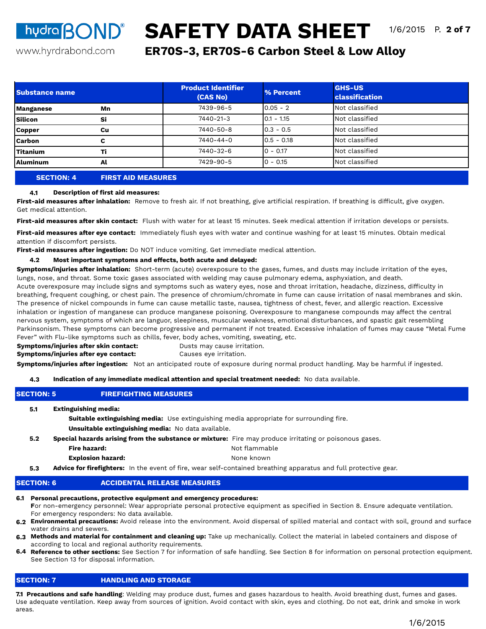# **hydra BOND<sup>®</sup> SAFETY DATA SHEET** 1/6/2015 P. 2 of 7

www.hyrdrabond.com

# **ER70S-3, ER70S-6 Carbon Steel & Low Alloy**

| <b>Substance name</b> |    | <b>Product Identifier</b><br>(CAS No) | % Percent    | <b>GHS-US</b><br><b>classification</b> |
|-----------------------|----|---------------------------------------|--------------|----------------------------------------|
| <b>Manganese</b>      | Mn | 7439-96-5                             | $0.05 - 2$   | Not classified                         |
| <b>Silicon</b>        | Si | 7440-21-3                             | $0.1 - 1.15$ | Not classified                         |
| <b>Copper</b>         | Cu | 7440-50-8                             | $0.3 - 0.5$  | Not classified                         |
| <b>Carbon</b>         | c  | 7440-44-0                             | $0.5 - 0.18$ | Not classified                         |
| <b>Titanium</b>       | тi | 7440-32-6                             | $0 - 0.17$   | Not classified                         |
| Aluminum              | Al | 7429-90-5                             | $0 - 0.15$   | Not classified                         |
|                       |    |                                       |              |                                        |

## **SECTION: 4 FIRST AID MEASURES**

#### **4.1 Description of first aid measures:**

**First-aid measures after inhalation:** Remove to fresh air. If not breathing, give artificial respiration. If breathing is difficult, give oxygen. Get medical attention.

**First-aid measures after skin contact:** Flush with water for at least 15 minutes. Seek medical attention if irritation develops or persists.

**First-aid measures after eye contact:** Immediately flush eyes with water and continue washing for at least 15 minutes. Obtain medical attention if discomfort persists.

**First-aid measures after ingestion:** Do NOT induce vomiting. Get immediate medical attention.

#### **4.2 Most important symptoms and effects, both acute and delayed:**

**Symptoms/injuries after inhalation:** Short-term (acute) overexposure to the gases, fumes, and dusts may include irritation of the eyes, lungs, nose, and throat. Some toxic gases associated with welding may cause pulmonary edema, asphyxiation, and death. Acute overexposure may include signs and symptoms such as watery eyes, nose and throat irritation, headache, dizziness, difficulty in

breathing, frequent coughing, or chest pain. The presence of chromium/chromate in fume can cause irritation of nasal membranes and skin. The presence of nickel compounds in fume can cause metallic taste, nausea, tightness of chest, fever, and allergic reaction. Excessive inhalation or ingestion of manganese can produce manganese poisoning. Overexposure to manganese compounds may affect the central nervous system, symptoms of which are languor, sleepiness, muscular weakness, emotional disturbances, and spastic gait resembling Parkinsonism. These symptoms can become progressive and permanent if not treated. Excessive inhalation of fumes may cause "Metal Fume Fever" with Flu-like symptoms such as chills, fever, body aches, vomiting, sweating, etc.

#### **Symptoms/injuries after skin contact:** Dusts may cause irritation. **Symptoms/injuries after eye contact:**

Causes eye irritation.

**Symptoms/injuries after ingestion:** Not an anticipated route of exposure during normal product handling. May be harmful if ingested.

#### **4.3 Indication of any immediate medical attention and special treatment needed:** No data available.

| 4.3               |                                                                          | Indication of any immediate medical attention and special treatment needed: No data available.                          |
|-------------------|--------------------------------------------------------------------------|-------------------------------------------------------------------------------------------------------------------------|
| <b>SECTION: 5</b> | <b>FIREFIGHTING MEASURES</b>                                             |                                                                                                                         |
| 5.1               | <b>Extinguishing media:</b>                                              | <b>Suitable extinguishing media:</b> Use extinguishing media appropriate for surrounding fire.                          |
|                   | <b>Unsuitable extinguishing media:</b> No data available.                |                                                                                                                         |
| 5.2               |                                                                          | Special hazards arising from the substance or mixture: Fire may produce irritating or poisonous gases.                  |
|                   | Fire hazard:                                                             | Not flammable                                                                                                           |
|                   | <b>Explosion hazard:</b>                                                 | None known                                                                                                              |
| 5.3               |                                                                          | <b>Advice for firefighters:</b> In the event of fire, wear self-contained breathing apparatus and full protective gear. |
| <b>SECTION: 6</b> | <b>ACCIDENTAL RELEASE MEASURES</b>                                       |                                                                                                                         |
|                   | 6.1 Personal precautions, protective equipment and emergency procedures: |                                                                                                                         |

#### **F**or non-emergency personnel: Wear appropriate personal protective equipment as specified in Section 8. Ensure adequate ventilation. For emergency responders: No data available.

**6.2 Environmental precautions:** Avoid release into the environment. Avoid dispersal of spilled material and contact with soil, ground and surface water drains and sewers.

- **6.3 Methods and material for containment and cleaning up:** Take up mechanically. Collect the material in labeled containers and dispose of according to local and regional authority requirements.
- **6.4 Reference to other sections:** See Section 7 for information of safe handling. See Section 8 for information on personal protection equipment. See Section 13 for disposal information.

## **SECTION: 7 HANDLING AND STORAGE**

**7.1 Precautions and safe handling**: Welding may produce dust, fumes and gases hazardous to health. Avoid breathing dust, fumes and gases. Use adequate ventilation. Keep away from sources of ignition. Avoid contact with skin, eyes and clothing. Do not eat, drink and smoke in work areas.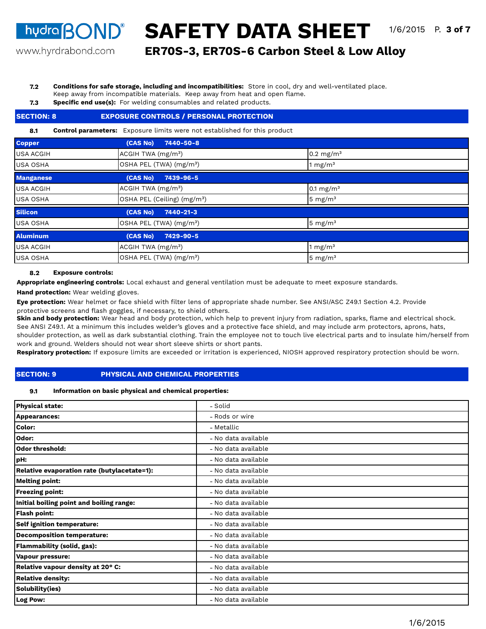www.hyrdrabond.com

**ER70S-3, ER70S-6 Carbon Steel & Low Alloy**

#### **7.2 Conditions for safe storage, including and incompatibilities:** Store in cool, dry and well-ventilated place.

- Keep away from incompatible materials. Keep away from heat and open flame.
- **7.3 Specific end use(s):** For welding consumables and related products.

#### **8.1** OSHA PEL (TWA) (mg/m<sup>3</sup>) USA ACGIH USA OSHA **Silicon**  ACGIH TWA (mg/m<sup>3</sup>) **Control parameters:** Exposure limits were not established for this product **Copper** USA OSHA **(CAS No) 7440-50-8** 1 mg/ $m<sup>3</sup>$ **Manganese**  0.1  $mg/m<sup>3</sup>$ OSHA PEL (Ceiling) (mg/m<sup>3</sup>) 5 mg/m<sup>3</sup> **(CAS No) 7440-21-3** USA OSHA 5 mg/ $m<sup>3</sup>$ **Aluminum (CAS No) 7429-90-5** USA ACGIH ACGIH TWA (mg/mª) 1 mg/m<sup>3</sup> 1 mg/m<sup>3</sup> USA OSHA **DEL (TWA)** (mg/m<sup>3</sup>) **SECTION: 8 EXPOSURE CONTROLS / PERSONAL PROTECTION**  $ACGIH TWA (mg/m<sup>3</sup>)$  0.2 mg/m<sup>3</sup> OSHA PEL (TWA) (mg/m<sup>3</sup>) 5 mg/m<sup>3</sup> **(CAS No) 7439-96-5** USA ACGIH

#### **8.2 Exposure controls:**

**Appropriate engineering controls:** Local exhaust and general ventilation must be adequate to meet exposure standards.

**Hand protection:** Wear welding gloves.

**Eye protection:** Wear helmet or face shield with filter lens of appropriate shade number. See ANSI/ASC Z49.1 Section 4.2. Provide protective screens and flash goggles, if necessary, to shield others.

**Skin and body protection:** Wear head and body protection, which help to prevent injury from radiation, sparks, flame and electrical shock. See ANSI Z49.1. At a minimum this includes welder's gloves and a protective face shield, and may include arm protectors, aprons, hats, shoulder protection, as well as dark substantial clothing. Train the employee not to touch live electrical parts and to insulate him/herself from work and ground. Welders should not wear short sleeve shirts or short pants.

**Respiratory protection:** If exposure limits are exceeded or irritation is experienced, NIOSH approved respiratory protection should be worn.

## **SECTION: 9 PHYSICAL AND CHEMICAL PROPERTIES**

#### **9.1 Information on basic physical and chemical properties:**

| <b>Physical state:</b>                      | - Solid             |
|---------------------------------------------|---------------------|
| <b>Appearances:</b>                         | - Rods or wire      |
| <b>Color:</b>                               | - Metallic          |
| Odor:                                       | - No data available |
| Odor threshold:                             | - No data available |
| pH:                                         | - No data available |
| Relative evaporation rate (butylacetate=1): | - No data available |
| <b>Melting point:</b>                       | - No data available |
| <b>Freezing point:</b>                      | - No data available |
| Initial boiling point and boiling range:    | - No data available |
| <b>Flash point:</b>                         | - No data available |
| <b>Self ignition temperature:</b>           | - No data available |
| <b>Decomposition temperature:</b>           | - No data available |
| <b>Flammability (solid, gas):</b>           | - No data available |
| <b>Vapour pressure:</b>                     | - No data available |
| Relative vapour density at 20° C:           | - No data available |
| <b>Relative density:</b>                    | - No data available |
| Solubility(ies)                             | - No data available |
| Log Pow:                                    | - No data available |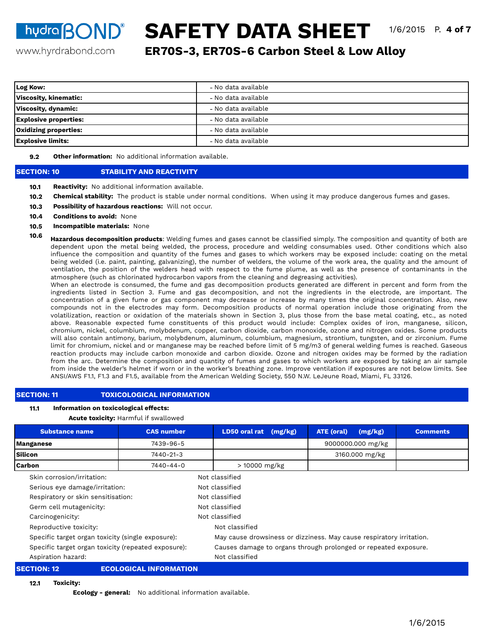**hydra BOND® SAFETY DATA SHEET** 1/6/2015 P. 4 of 7

www.hyrdrabond.com

**ER70S-3, ER70S-6 Carbon Steel & Low Alloy**

| Log Kow:                     | - No data available |
|------------------------------|---------------------|
| <b>Viscosity, kinematic:</b> | - No data available |
| Viscosity, dynamic:          | - No data available |
| <b>Explosive properties:</b> | - No data available |
| <b>Oxidizing properties:</b> | - No data available |
| <b>Explosive limits:</b>     | - No data available |

**9.2 Other information:** No additional information available.

## **SECTION: 10 STABILITY AND REACTIVITY**

- **10.1 Reactivity:** No additional information available.
- **10.2 Chemical stability:** The product is stable under normal conditions. When using it may produce dangerous fumes and gases.
- **10.3 Possibility of hazardous reactions:** Will not occur.
- **10.4 Conditions to avoid:** None
- **10.5 Incompatible materials:** None
- **10.6 Hazardous decomposition products**: Welding fumes and gases cannot be classified simply. The composition and quantity of both are dependent upon the metal being welded, the process, procedure and welding consumables used. Other conditions which also influence the composition and quantity of the fumes and gases to which workers may be exposed include: coating on the metal being welded (i.e. paint, painting, galvanizing), the number of welders, the volume of the work area, the quality and the amount of ventilation, the position of the welders head with respect to the fume plume, as well as the presence of contaminants in the atmosphere (such as chlorinated hydrocarbon vapors from the cleaning and degreasing activities).

When an electrode is consumed, the fume and gas decomposition products generated are different in percent and form from the ingredients listed in Section 3. Fume and gas decomposition, and not the ingredients in the electrode, are important. The concentration of a given fume or gas component may decrease or increase by many times the original concentration. Also, new compounds not in the electrodes may form. Decomposition products of normal operation include those originating from the volatilization, reaction or oxidation of the materials shown in Section 3, plus those from the base metal coating, etc., as noted above. Reasonable expected fume constituents of this product would include: Complex oxides of iron, manganese, silicon, chromium, nickel, columbium, molybdenum, copper, carbon dioxide, carbon monoxide, ozone and nitrogen oxides. Some products will also contain antimony, barium, molybdenum, aluminum, columbium, magnesium, strontium, tungsten, and or zirconium. Fume limit for chromium, nickel and or manganese may be reached before limit of 5 mg/m3 of general welding fumes is reached. Gaseous reaction products may include carbon monoxide and carbon dioxide. Ozone and nitrogen oxides may be formed by the radiation from the arc. Determine the composition and quantity of fumes and gases to which workers are exposed by taking an air sample from inside the welder's helmet if worn or in the worker's breathing zone. Improve ventilation if exposures are not below limits. See ANSI/AWS F1.1, F1.3 and F1.5, available from the American Welding Society, 550 N.W. LeJeune Road, Miami, FL 33126.

## **SECTION: 11 TOXICOLOGICAL INFORMATION**

#### **11.1 Information on toxicological effects:**

## **Acute toxicity:** Harmful if swallowed

| <b>Substance name</b>                               | <b>CAS number</b>                  |                | LD50 oral rat                                                        | (mg/kg)        | <b>ATE (oral)</b> | (mg/kg)           | <b>Comments</b> |  |  |
|-----------------------------------------------------|------------------------------------|----------------|----------------------------------------------------------------------|----------------|-------------------|-------------------|-----------------|--|--|
| 7439-96-5<br><b>Manganese</b>                       |                                    |                |                                                                      |                |                   | 9000000.000 mg/kg |                 |  |  |
| <b>Silicon</b><br>7440-21-3                         |                                    |                | 3160.000 mg/kg                                                       |                |                   |                   |                 |  |  |
| <b>Carbon</b>                                       | 7440-44-0                          |                | > 10000 mg/kg                                                        |                |                   |                   |                 |  |  |
| Skin corrosion/irritation:                          |                                    |                | Not classified                                                       |                |                   |                   |                 |  |  |
| Serious eye damage/irritation:                      |                                    |                | Not classified                                                       |                |                   |                   |                 |  |  |
|                                                     | Respiratory or skin sensitisation: |                |                                                                      | Not classified |                   |                   |                 |  |  |
| Germ cell mutagenicity:                             |                                    |                |                                                                      | Not classified |                   |                   |                 |  |  |
| Carcinogenicity:                                    |                                    |                | Not classified                                                       |                |                   |                   |                 |  |  |
| Reproductive toxicity:                              |                                    |                | Not classified                                                       |                |                   |                   |                 |  |  |
| Specific target organ toxicity (single exposure):   |                                    |                | May cause drowsiness or dizziness. May cause respiratory irritation. |                |                   |                   |                 |  |  |
| Specific target organ toxicity (repeated exposure): |                                    |                | Causes damage to organs through prolonged or repeated exposure.      |                |                   |                   |                 |  |  |
| Aspiration hazard:                                  |                                    | Not classified |                                                                      |                |                   |                   |                 |  |  |
| <b>SECTION: 12</b><br><b>ECOLOGICAL INFORMATION</b> |                                    |                |                                                                      |                |                   |                   |                 |  |  |

**12.1 Toxicity:** 

**Ecology - general:** No additional information available.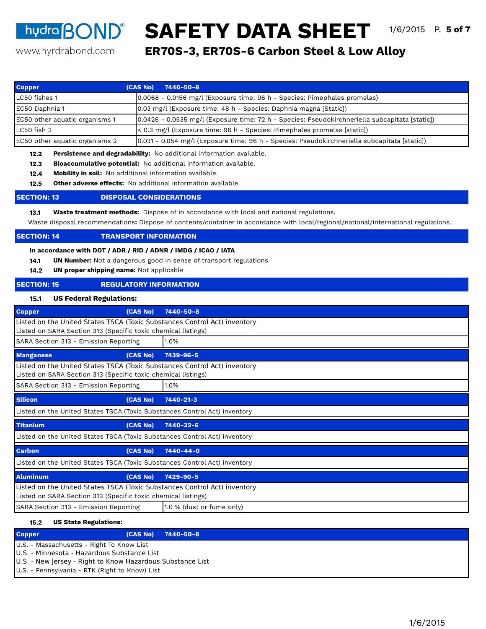www.hyrdrabond.com

**ER70S-3, ER70S-6 Carbon Steel & Low Alloy hudra BOND<sup>®</sup> SAFETY DATA SHEET** 1/6/2015 P. 5 of 7

| <b>Copper</b>                                                                                                             | (CAS No)<br>7440-50-8                                                                                                                                                                                                                                                  |
|---------------------------------------------------------------------------------------------------------------------------|------------------------------------------------------------------------------------------------------------------------------------------------------------------------------------------------------------------------------------------------------------------------|
| LC50 fishes 1                                                                                                             | 0.0068 - 0.0156 mg/l (Exposure time: 96 h - Species: Pimephales promelas)                                                                                                                                                                                              |
| EC50 Daphnia 1                                                                                                            | 0.03 mg/l (Exposure time: 48 h - Species: Daphnia magna [Static])                                                                                                                                                                                                      |
| EC50 other aquatic organisms 1                                                                                            | 0.0426 - 0.0535 mg/l (Exposure time: 72 h - Species: Pseudokirchneriella subcapitata [static])                                                                                                                                                                         |
| LC50 fish 2                                                                                                               | < 0.3 mg/l (Exposure time: 96 h - Species: Pimephales promelas [static])                                                                                                                                                                                               |
| EC50 other aquatic organisms 2                                                                                            | 0.031 - 0.054 mg/l (Exposure time: 96 h - Species: Pseudokirchneriella subcapitata [static])                                                                                                                                                                           |
| 12.2<br>12.3<br>12.4<br>12.5                                                                                              | Persistence and degradability: No additional information available.<br>Bioaccumulative potential: No additional information available.<br>Mobility in soil: No additional information available.<br><b>Other adverse effects:</b> No additional information available. |
| <b>SECTION: 13</b>                                                                                                        | <b>DISPOSAL CONSIDERATIONS</b>                                                                                                                                                                                                                                         |
| 13.1                                                                                                                      | <b>Waste treatment methods:</b> Dispose of in accordance with local and national regulations.<br>Waste disposal recommendations: Dispose of contents/container in accordance with local/regional/national/international regulations.                                   |
| <b>SECTION: 14</b>                                                                                                        | <b>TRANSPORT INFORMATION</b>                                                                                                                                                                                                                                           |
| In accordance with DOT / ADR / RID / ADNR / IMDG / ICAO / IATA<br>14.1<br>UN proper shipping name: Not applicable<br>14.2 | <b>UN Number:</b> Not a dangerous good in sense of transport regulations                                                                                                                                                                                               |
| <b>SECTION: 15</b>                                                                                                        | <b>REGULATORY INFORMATION</b>                                                                                                                                                                                                                                          |
| <b>US Federal Regulations:</b><br>15.1                                                                                    |                                                                                                                                                                                                                                                                        |
| <b>Copper</b>                                                                                                             | (CAS No)<br>7440-50-8                                                                                                                                                                                                                                                  |
| Listed on SARA Section 313 (Specific toxic chemical listings)                                                             | Listed on the United States TSCA (Toxic Substances Control Act) inventory                                                                                                                                                                                              |
| SARA Section 313 - Emission Reporting                                                                                     | 1.0%                                                                                                                                                                                                                                                                   |
| <b>Manganese</b>                                                                                                          | (CAS No)<br>7439-96-5                                                                                                                                                                                                                                                  |
| Listed on SARA Section 313 (Specific toxic chemical listings)                                                             | Listed on the United States TSCA (Toxic Substances Control Act) inventory                                                                                                                                                                                              |
| SARA Section 313 - Emission Reporting                                                                                     | 1.0%                                                                                                                                                                                                                                                                   |
| <b>Silicon</b>                                                                                                            | (CAS No)<br>7440-21-3                                                                                                                                                                                                                                                  |
| Listed on the United States TSCA (Toxic Substances Control Act) inventory                                                 |                                                                                                                                                                                                                                                                        |
| <b>Titanium</b>                                                                                                           | (CAS No)<br>7440-32-6                                                                                                                                                                                                                                                  |
| Listed on the United States TSCA (Toxic Substances Control Act) inventory                                                 |                                                                                                                                                                                                                                                                        |
| <b>Carbon</b>                                                                                                             | (CAS No)<br>7440-44-0                                                                                                                                                                                                                                                  |
| Listed on the United States TSCA (Toxic Substances Control Act) inventory                                                 |                                                                                                                                                                                                                                                                        |
| <b>Aluminum</b>                                                                                                           | (CAS No)<br>7429-90-5                                                                                                                                                                                                                                                  |
| Listed on SARA Section 313 (Specific toxic chemical listings)                                                             | Listed on the United States TSCA (Toxic Substances Control Act) inventory                                                                                                                                                                                              |
| SARA Section 313 - Emission Reporting                                                                                     | 1.0 % (dust or fume only)                                                                                                                                                                                                                                              |

#### **15.2 US State Regulations:**

| <b>Copper</b>                                              |                                             | (CAS No) 7440-50-8 |  |  |  |  |
|------------------------------------------------------------|---------------------------------------------|--------------------|--|--|--|--|
|                                                            | U.S. - Massachusetts - Right To Know List   |                    |  |  |  |  |
|                                                            | U.S. - Minnesota - Hazardous Substance List |                    |  |  |  |  |
| U.S. - New Jersey - Right to Know Hazardous Substance List |                                             |                    |  |  |  |  |
| U.S. - Pennsylvania - RTK (Right to Know) List             |                                             |                    |  |  |  |  |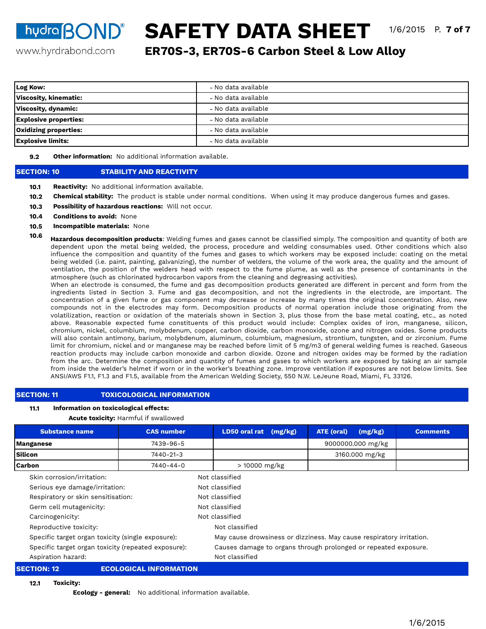**hydra BOND® SAFETY DATA SHEET** 1/6/2015 P. 7 of 7

www.hyrdrabond.com

**ER70S-3, ER70S-6 Carbon Steel & Low Alloy**

| Log Kow:                     | - No data available |
|------------------------------|---------------------|
| <b>Viscosity, kinematic:</b> | - No data available |
| Viscosity, dynamic:          | - No data available |
| <b>Explosive properties:</b> | - No data available |
| <b>Oxidizing properties:</b> | - No data available |
| <b>Explosive limits:</b>     | - No data available |

**9.2 Other information:** No additional information available.

## **SECTION: 10 STABILITY AND REACTIVITY**

- **10.1 Reactivity:** No additional information available.
- **10.2 Chemical stability:** The product is stable under normal conditions. When using it may produce dangerous fumes and gases.
- **10.3 Possibility of hazardous reactions:** Will not occur.
- **10.4 Conditions to avoid:** None
- **10.5 Incompatible materials:** None
- **10.6 Hazardous decomposition products**: Welding fumes and gases cannot be classified simply. The composition and quantity of both are dependent upon the metal being welded, the process, procedure and welding consumables used. Other conditions which also influence the composition and quantity of the fumes and gases to which workers may be exposed include: coating on the metal being welded (i.e. paint, painting, galvanizing), the number of welders, the volume of the work area, the quality and the amount of ventilation, the position of the welders head with respect to the fume plume, as well as the presence of contaminants in the atmosphere (such as chlorinated hydrocarbon vapors from the cleaning and degreasing activities).

When an electrode is consumed, the fume and gas decomposition products generated are different in percent and form from the ingredients listed in Section 3. Fume and gas decomposition, and not the ingredients in the electrode, are important. The concentration of a given fume or gas component may decrease or increase by many times the original concentration. Also, new compounds not in the electrodes may form. Decomposition products of normal operation include those originating from the volatilization, reaction or oxidation of the materials shown in Section 3, plus those from the base metal coating, etc., as noted above. Reasonable expected fume constituents of this product would include: Complex oxides of iron, manganese, silicon, chromium, nickel, columbium, molybdenum, copper, carbon dioxide, carbon monoxide, ozone and nitrogen oxides. Some products will also contain antimony, barium, molybdenum, aluminum, columbium, magnesium, strontium, tungsten, and or zirconium. Fume limit for chromium, nickel and or manganese may be reached before limit of 5 mg/m3 of general welding fumes is reached. Gaseous reaction products may include carbon monoxide and carbon dioxide. Ozone and nitrogen oxides may be formed by the radiation from the arc. Determine the composition and quantity of fumes and gases to which workers are exposed by taking an air sample from inside the welder's helmet if worn or in the worker's breathing zone. Improve ventilation if exposures are not below limits. See ANSI/AWS F1.1, F1.3 and F1.5, available from the American Welding Society, 550 N.W. LeJeune Road, Miami, FL 33126.

## **SECTION: 11 TOXICOLOGICAL INFORMATION**

#### **11.1 Information on toxicological effects:**

## **Acute toxicity:** Harmful if swallowed

| <b>Substance name</b>                               | <b>CAS number</b>                  |                | LD50 oral rat                                                        | (mg/kg)        | <b>ATE (oral)</b> | (mg/kg)           | <b>Comments</b> |  |  |
|-----------------------------------------------------|------------------------------------|----------------|----------------------------------------------------------------------|----------------|-------------------|-------------------|-----------------|--|--|
| 7439-96-5<br><b>Manganese</b>                       |                                    |                |                                                                      |                |                   | 9000000.000 mg/kg |                 |  |  |
| <b>Silicon</b><br>7440-21-3                         |                                    |                | 3160.000 mg/kg                                                       |                |                   |                   |                 |  |  |
| <b>Carbon</b>                                       | 7440-44-0                          |                | > 10000 mg/kg                                                        |                |                   |                   |                 |  |  |
| Skin corrosion/irritation:                          |                                    |                | Not classified                                                       |                |                   |                   |                 |  |  |
| Serious eye damage/irritation:                      |                                    |                | Not classified                                                       |                |                   |                   |                 |  |  |
|                                                     | Respiratory or skin sensitisation: |                |                                                                      | Not classified |                   |                   |                 |  |  |
| Germ cell mutagenicity:                             |                                    |                |                                                                      | Not classified |                   |                   |                 |  |  |
| Carcinogenicity:                                    |                                    |                | Not classified                                                       |                |                   |                   |                 |  |  |
| Reproductive toxicity:                              |                                    |                | Not classified                                                       |                |                   |                   |                 |  |  |
| Specific target organ toxicity (single exposure):   |                                    |                | May cause drowsiness or dizziness. May cause respiratory irritation. |                |                   |                   |                 |  |  |
| Specific target organ toxicity (repeated exposure): |                                    |                | Causes damage to organs through prolonged or repeated exposure.      |                |                   |                   |                 |  |  |
| Aspiration hazard:                                  |                                    | Not classified |                                                                      |                |                   |                   |                 |  |  |
| <b>SECTION: 12</b><br><b>ECOLOGICAL INFORMATION</b> |                                    |                |                                                                      |                |                   |                   |                 |  |  |

**12.1 Toxicity:** 

**Ecology - general:** No additional information available.